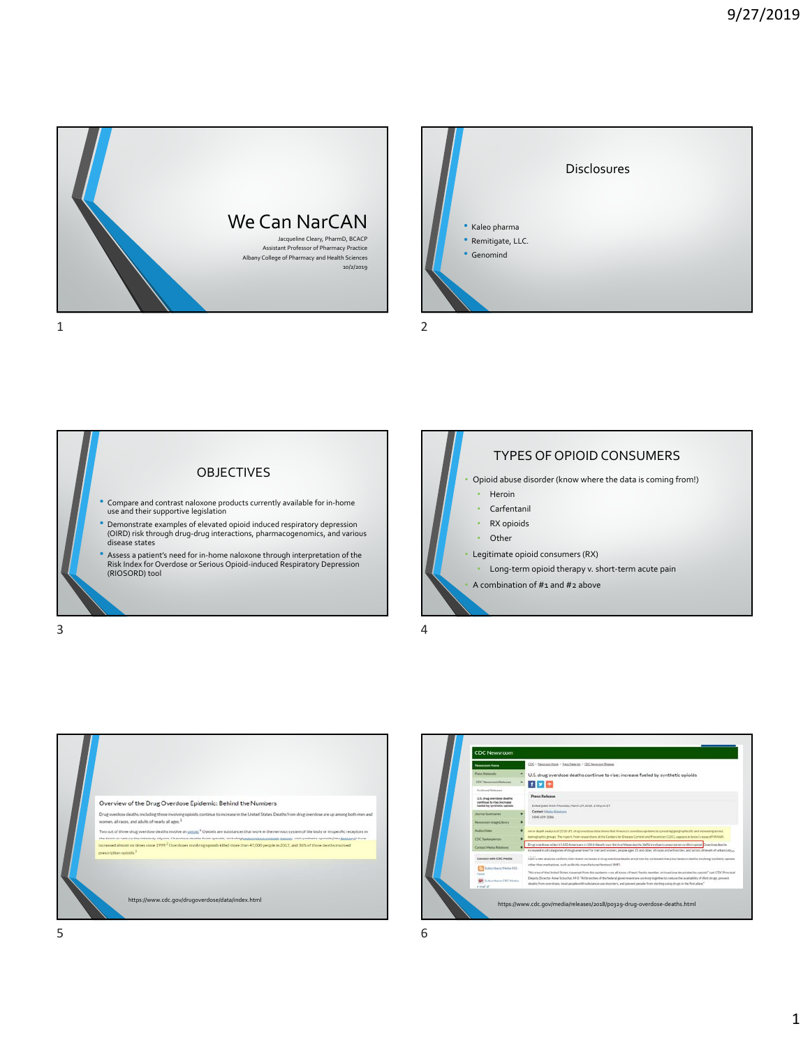



OBJECTIVES • Compare and contrast naloxone products currently available for in‐home use and their supportive legislation • Demonstrate examples of elevated opioid induced respiratory depression (OIRD) risk through drug‐drug interactions, pharmacogenomics, and various disease states • Assess <sup>a</sup> patient's need for in‐home naloxone through interpretation of the Risk Index for Overdose or Serious Opioid‐induced Respiratory Depression (RIOSORD) tool • Opioid abuse disorder (know where the data is coming from!) • Heroin • Carfentanil • RX opioids • Other • Legitimate opioid consumers (RX) • Long‐term opioid therapy v. short‐term acute pain • A combination of #1 and #2 above TYPES OF OPIOID CONSUMERS



 $3 \overline{4}$ 

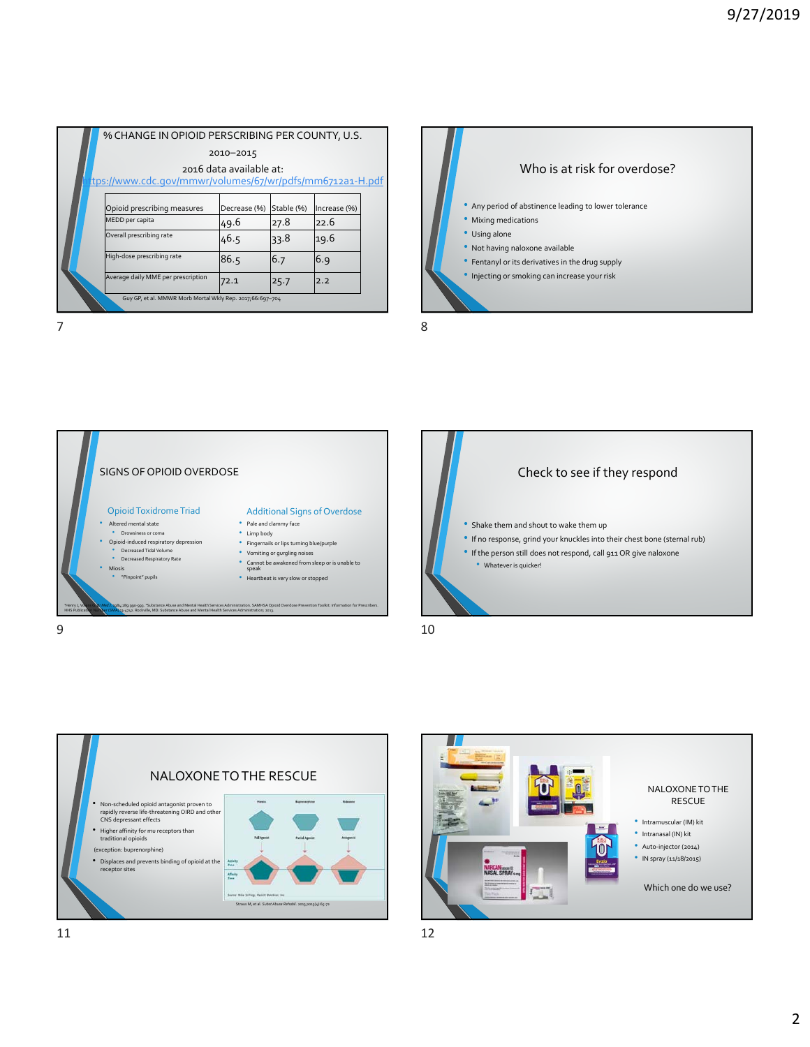|  |                                                                                     | % CHANGE IN OPIOID PERSCRIBING PER COUNTY, U.S.           |              |            |              |  |  |  |  |
|--|-------------------------------------------------------------------------------------|-----------------------------------------------------------|--------------|------------|--------------|--|--|--|--|
|  |                                                                                     | 2010-2015                                                 |              |            |              |  |  |  |  |
|  | 2016 data available at:<br>tps://www.cdc.gov/mmwr/volumes/67/wr/pdfs/mm6712a1-H.pdf |                                                           |              |            |              |  |  |  |  |
|  |                                                                                     | Opioid prescribing measures                               | Decrease (%) | Stable (%) | Increase (%) |  |  |  |  |
|  |                                                                                     | MEDD per capita                                           | 49.6         | 27.8       | 22.6         |  |  |  |  |
|  |                                                                                     | Overall prescribing rate                                  | 46.5         | 33.8       | 19.6         |  |  |  |  |
|  |                                                                                     | High-dose prescribing rate                                | 86.5         | 6.7        | 6.9          |  |  |  |  |
|  |                                                                                     | Average daily MME per prescription                        | 72.1         | 25.7       | 2.2          |  |  |  |  |
|  |                                                                                     | Guy GP, et al. MMWR Morb Mortal Wkly Rep. 2017;66:697-704 |              |            |              |  |  |  |  |











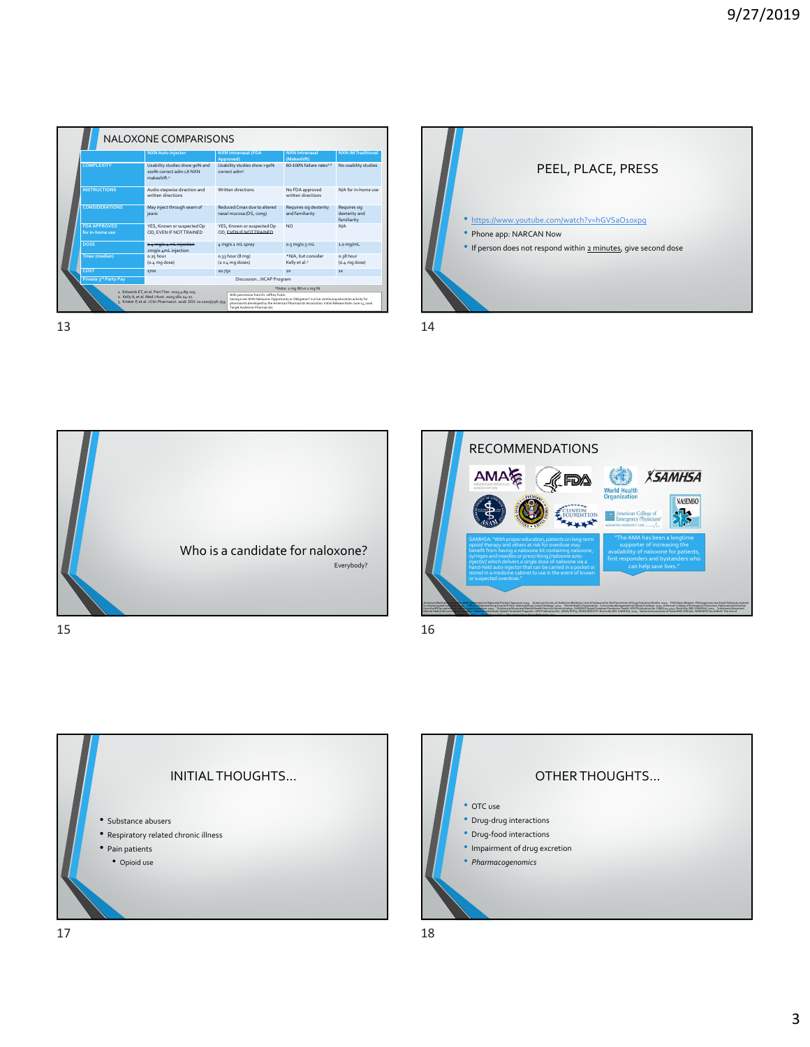



 $13$  and  $14$ 









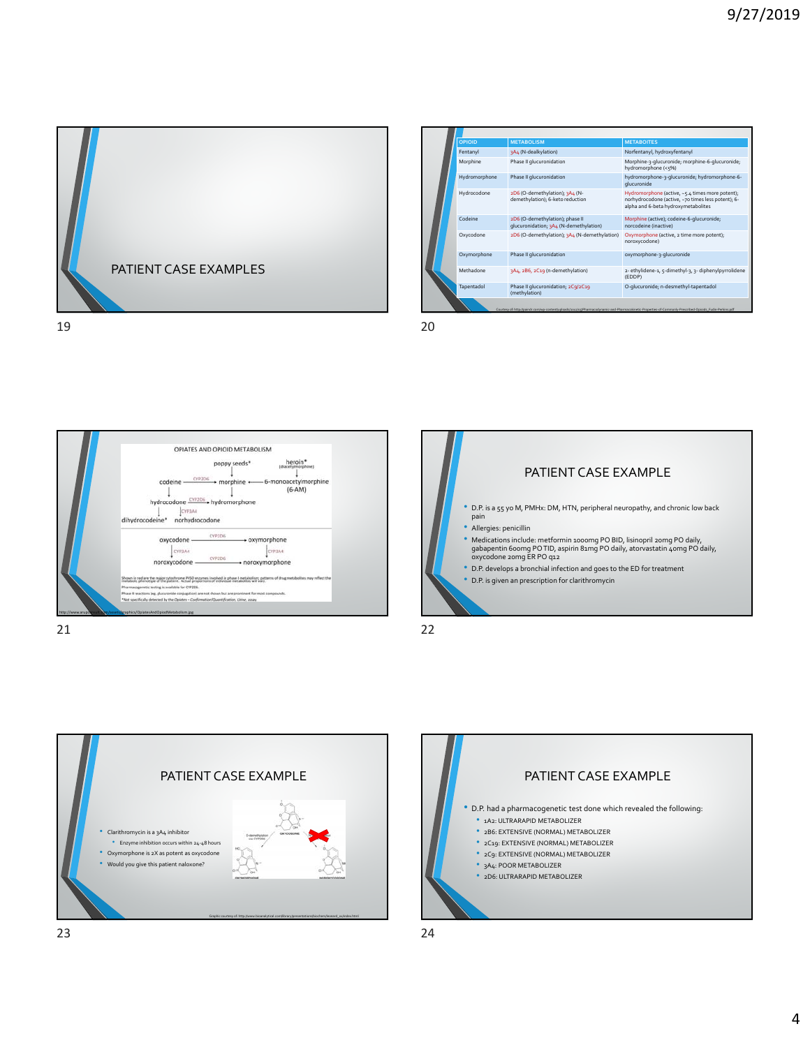

|  | <b>OPIOID</b> | <b>METABOLISM</b>                                                         | <b>METABOITES</b>                                                                                                                            |
|--|---------------|---------------------------------------------------------------------------|----------------------------------------------------------------------------------------------------------------------------------------------|
|  | Fentanyl      | 3A4 (N-dealkylation)                                                      | Norfentanyl, hydroxyfentanyl                                                                                                                 |
|  | Morphine      | Phase II glucuronidation                                                  | Morphine-3-glucuronide; morphine-6-glucuronide;<br>hydromorphone (<5%)                                                                       |
|  | Hydromorphone | Phase II glucuronidation                                                  | hydromorphone-3-glucuronide; hydromorphone-6-<br>alucuronide                                                                                 |
|  | Hydrocodone   | 2D6 (O-demethylation); 3A4 (N-<br>demethylation); 6-keto reduction        | Hydromorphone (active, -5.4 times more potent);<br>norhydrocodone (active, -70 times less potent); 6-<br>alpha and 6-beta hydroxymetabolites |
|  | Codeine       | 2D6 (O-demethylation); phase II<br>qlucuronidation; 3A4 (N-demethylation) | Morphine (active); codeine-6-glucuronide;<br>norcodeine (inactive)                                                                           |
|  | Oxycodone     | 2D6 (O-demethylation); 3A4 (N-demethylation)                              | Oxymorphone (active, 2 time more potent);<br>noroxycodone)                                                                                   |
|  | Oxymorphone   | Phase II glucuronidation                                                  | oxymorphone-3-glucuronide                                                                                                                    |
|  | Methadone     | 3A4, 2B6, 2C19 (n-demethylation)                                          | 2-ethylidene-1, 5-dimethyl-3, 3-diphenylpyrrolidene<br>(EDDP)                                                                                |
|  | Tapentadol    | Phase II glucuronidation; 2C9/2C19<br>(methylation)                       | O-glucuronide; n-desmethyl-tapentadol                                                                                                        |



21 22







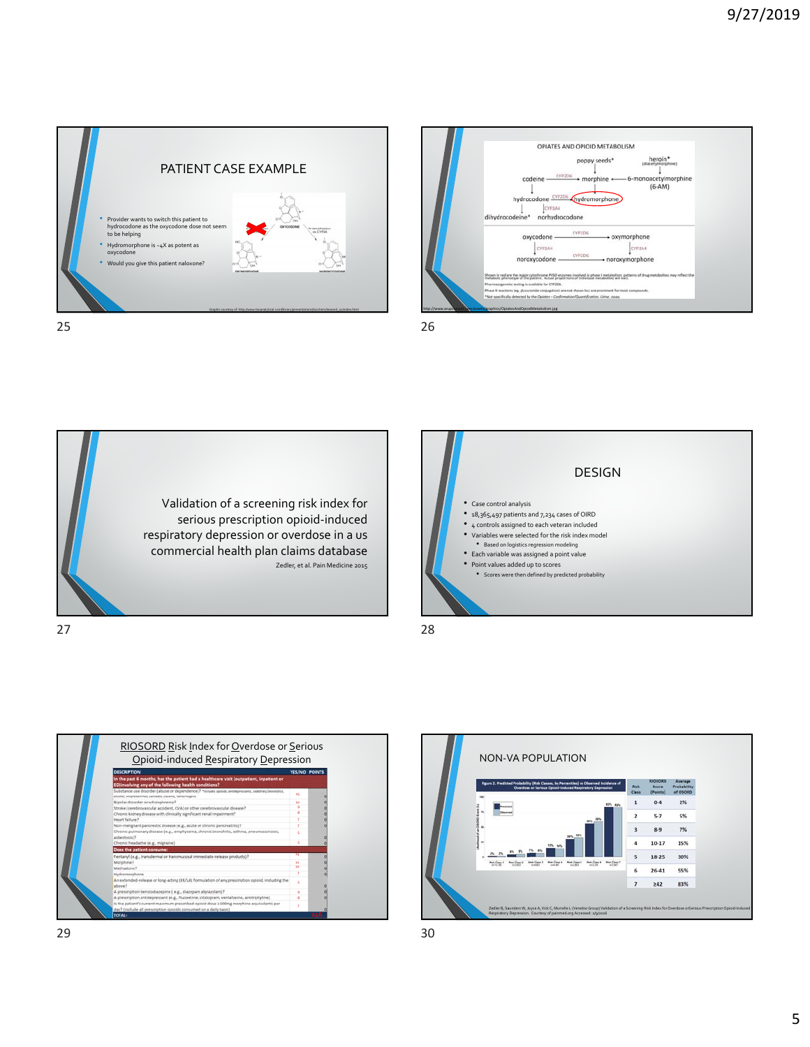







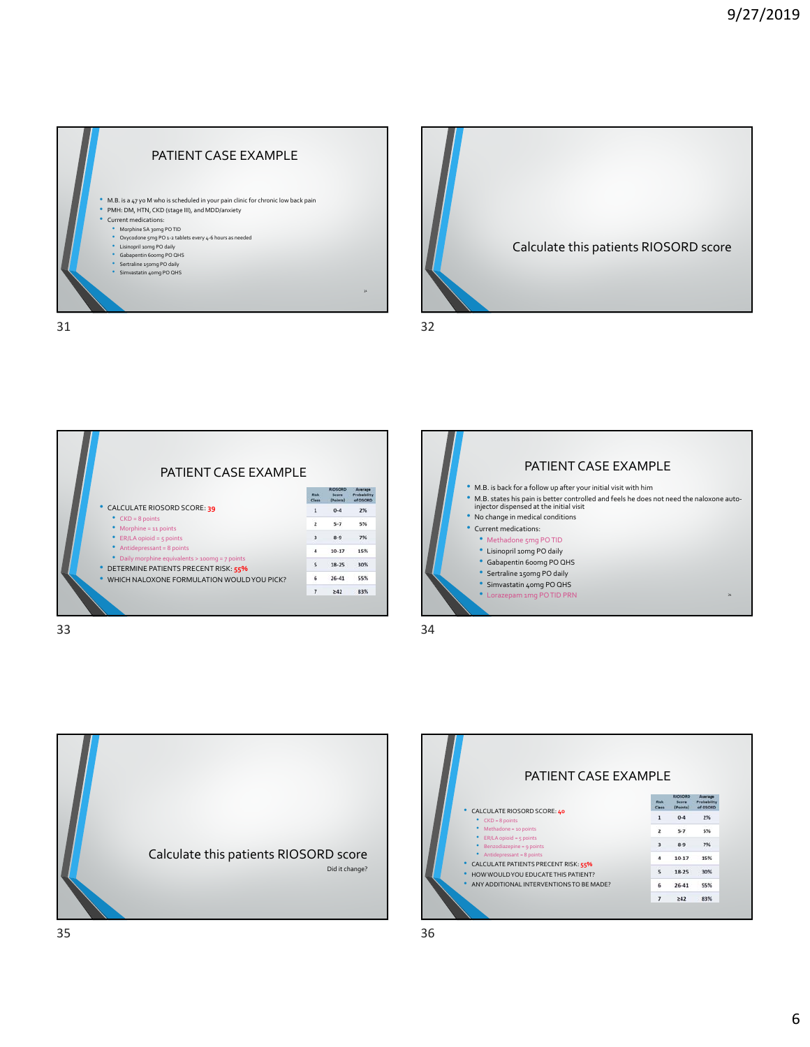







33 34



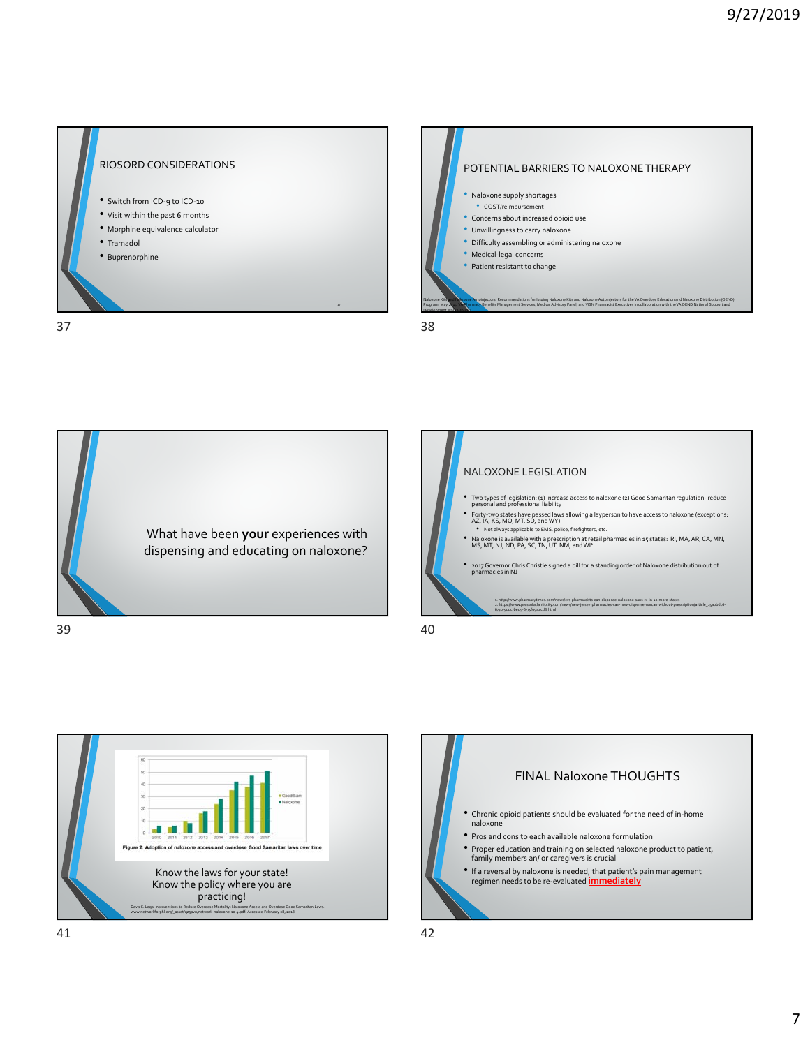